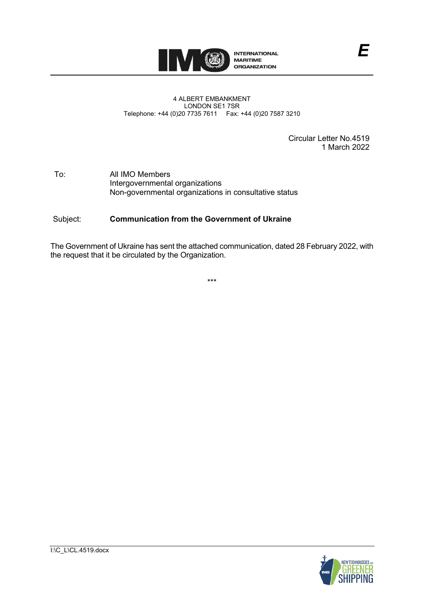

## 4 ALBERT EMBANKMENT LONDON SE1 7SR Telephone: +44 (0)20 7735 7611 Fax: +44 (0)20 7587 3210

Circular Letter No.4519 1 March 2022

## To: All IMO Members Intergovernmental organizations Non-governmental organizations in consultative status

## Subject: **Communication from the Government of Ukraine**

The Government of Ukraine has sent the attached communication, dated 28 February 2022, with the request that it be circulated by the Organization.

\*\*\*



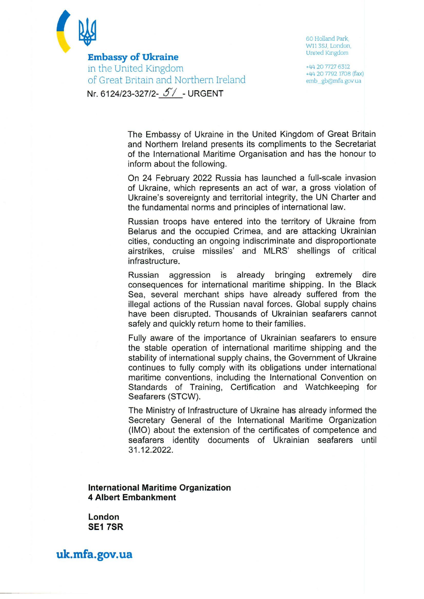

**Embassy of Ukraine** in the United Kingdom of Great Britain and Northern Ireland Nr. 6124/23-327/2- 5/ - URGENT

60 Holland Park W11 3SJ, London. **United Kingdom** 

+44 20 7727 6312 +44 20 7792 1708 (fax) emb\_gb@mfa.gov.ua

The Embassy of Ukraine in the United Kingdom of Great Britain and Northern Ireland presents its compliments to the Secretariat of the International Maritime Organisation and has the honour to inform about the following.

On 24 February 2022 Russia has launched a full-scale invasion of Ukraine, which represents an act of war, a gross violation of Ukraine's sovereignty and territorial integrity, the UN Charter and the fundamental norms and principles of international law.

Russian troops have entered into the territory of Ukraine from Belarus and the occupied Crimea, and are attacking Ukrainian cities, conducting an ongoing indiscriminate and disproportionate airstrikes, cruise missiles' and MLRS' shellings of critical infrastructure.

is already bringing extremely **Russian** aggression dire consequences for international maritime shipping. In the Black Sea, several merchant ships have already suffered from the illegal actions of the Russian naval forces. Global supply chains have been disrupted. Thousands of Ukrainian seafarers cannot safely and quickly return home to their families.

Fully aware of the importance of Ukrainian seafarers to ensure the stable operation of international maritime shipping and the stability of international supply chains, the Government of Ukraine continues to fully comply with its obligations under international maritime conventions, including the International Convention on Standards of Training, Certification and Watchkeeping for Seafarers (STCW).

The Ministry of Infrastructure of Ukraine has already informed the Secretary General of the International Maritime Organization (IMO) about the extension of the certificates of competence and seafarers identity documents of Ukrainian seafarers until 31.12.2022.

**International Maritime Organization 4 Albert Embankment** 

London **SE1 7SR** 

uk.mfa.gov.ua